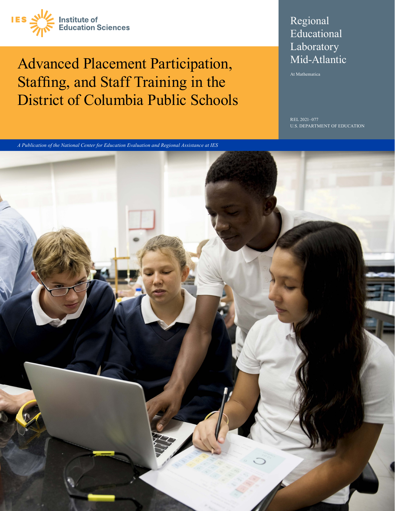

Advanced Placement Participation, Staffing, and Staff Training in the District of Columbia Public Schools

# Regional Educational **Laboratory** Mid‑Atlantic

At Mathematica

REL 2021–077 U.S. DEPARTMENT OF EDUCATION

*A Publication of the National Center for Education Evaluation and Regional Assistance at IES*

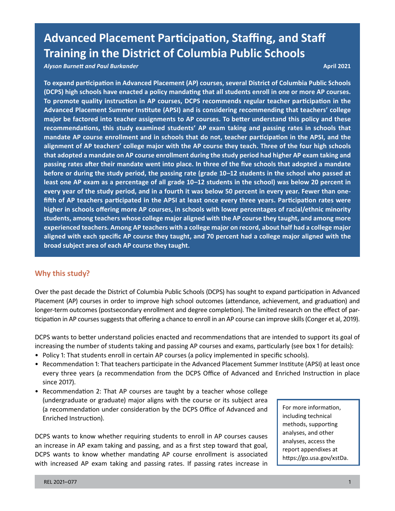# **Advanced Placement Participation, Staffing, and Staff Training in the District of Columbia Public Schools**

*Alyson Burnett and Paul Burkander* **April 2021**

**To expand participation in Advanced Placement (AP) courses, several District of Columbia Public Schools (DCPS) high schools have enacted a policy mandating that all students enroll in one or more AP courses. To promote quality instruction in AP courses, DCPS recommends regular teacher participation in the Advanced Placement Summer Institute (APSI) and is considering recommending that teachers' college major be factored into teacher assignments to AP courses. To better understand this policy and these recommendations, this study examined students' AP exam taking and passing rates in schools that mandate AP course enrollment and in schools that do not, teacher participation in the APSI, and the alignment of AP teachers' college major with the AP course they teach. Three of the four high schools that adopted a mandate on AP course enrollment during the study period had higher AP exam taking and passing rates after their mandate went into place. In three of the five schools that adopted a mandate before or during the study period, the passing rate (grade 10–12 students in the school who passed at least one AP exam as a percentage of all grade 10–12 students in the school) was below 20 percent in every year of the study period, and in a fourth it was below 50 percent in every year. Fewer than onefifth of AP teachers participated in the APSI at least once every three years. Participation rates were higher in schools offering more AP courses, in schools with lower percentages of racial/ethnic minority students, among teachers whose college major aligned with the AP course they taught, and among more experienced teachers. Among AP teachers with a college major on record, about half had a college major aligned with each specific AP course they taught, and 70 percent had a college major aligned with the broad subject area of each AP course they taught.**

# **Why this study?**

Over the past decade the District of Columbia Public Schools (DCPS) has sought to expand participation in Advanced Placement (AP) courses in order to improve high school outcomes (attendance, achievement, and graduation) and longer-term outcomes (postsecondary enrollment and degree completion). The limited research on the effect of participation in AP courses suggests that offering a chance to enroll in an AP course can improve skills (Conger et al, 2019).

DCPS wants to better understand policies enacted and recommendations that are intended to support its goal of increasing the number of students taking and passing AP courses and exams, particularly (see box 1 for details):

- Policy 1: That students enroll in certain AP courses (a policy implemented in specific schools).
- Recommendation 1: That teachers participate in the Advanced Placement Summer Institute (APSI) at least once every three years (a recommendation from the DCPS Office of Advanced and Enriched Instruction in place since 2017).
- Recommendation 2: That AP courses are taught by a teacher whose college (undergraduate or graduate) major aligns with the course or its subject area (a recommendation under consideration by the DCPS Office of Advanced and Enriched Instruction).

DCPS wants to know whether requiring students to enroll in AP courses causes an increase in AP exam taking and passing, and as a first step toward that goal, DCPS wants to know whether mandating AP course enrollment is associated with increased AP exam taking and passing rates. If passing rates increase in

For more information, including technical methods, supporting analyses, and other analyses, access the report appendixes at [https://go.usa.gov/xstDa.](https://go.usa.gov/xstDa)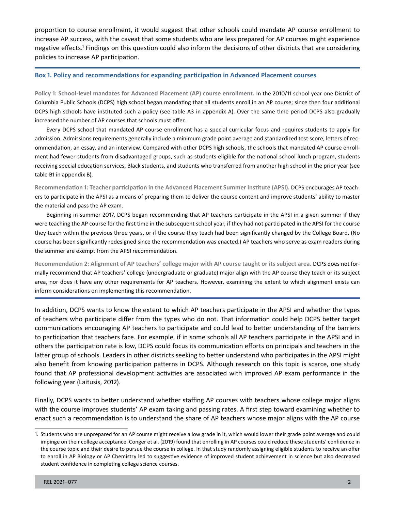proportion to course enrollment, it would suggest that other schools could mandate AP course enrollment to increase AP success, with the caveat that some students who are less prepared for AP courses might experience negative effects.<sup>1</sup> Findings on this question could also inform the decisions of other districts that are considering policies to increase AP participation.

#### **Box 1. Policy and recommendations for expanding participation in Advanced Placement courses**

**Policy 1: School-level mandates for Advanced Placement (AP) course enrollment.** In the 2010/11 school year one District of Columbia Public Schools (DCPS) high school began mandating that all students enroll in an AP course; since then four additional DCPS high schools have instituted such a policy (see table A3 in appendix A). Over the same time period DCPS also gradually increased the number of AP courses that schools must offer.

Every DCPS school that mandated AP course enrollment has a special curricular focus and requires students to apply for admission. Admissions requirements generally include a minimum grade point average and standardized test score, letters of recommendation, an essay, and an interview. Compared with other DCPS high schools, the schools that mandated AP course enrollment had fewer students from disadvantaged groups, such as students eligible for the national school lunch program, students receiving special education services, Black students, and students who transferred from another high school in the prior year (see table B1 in appendix B).

**Recommendation 1: Teacher participation in the Advanced Placement Summer Institute (APSI).** DCPS encourages AP teachers to participate in the APSI as a means of preparing them to deliver the course content and improve students' ability to master the material and pass the AP exam.

Beginning in summer 2017, DCPS began recommending that AP teachers participate in the APSI in a given summer if they were teaching the AP course for the first time in the subsequent school year, if they had not participated in the APSI for the course they teach within the previous three years, or if the course they teach had been significantly changed by the College Board. (No course has been significantly redesigned since the recommendation was enacted.) AP teachers who serve as exam readers during the summer are exempt from the APSI recommendation.

**Recommendation 2: Alignment of AP teachers' college major with AP course taught or its subject area.** DCPS does not formally recommend that AP teachers' college (undergraduate or graduate) major align with the AP course they teach or its subject area, nor does it have any other requirements for AP teachers. However, examining the extent to which alignment exists can inform considerations on implementing this recommendation.

In addition, DCPS wants to know the extent to which AP teachers participate in the APSI and whether the types of teachers who participate differ from the types who do not. That information could help DCPS better target communications encouraging AP teachers to participate and could lead to better understanding of the barriers to participation that teachers face. For example, if in some schools all AP teachers participate in the APSI and in others the participation rate is low, DCPS could focus its communication efforts on principals and teachers in the latter group of schools. Leaders in other districts seeking to better understand who participates in the APSI might also benefit from knowing participation patterns in DCPS. Although research on this topic is scarce, one study found that AP professional development activities are associated with improved AP exam performance in the following year (Laitusis, 2012).

Finally, DCPS wants to better understand whether staffing AP courses with teachers whose college major aligns with the course improves students' AP exam taking and passing rates. A first step toward examining whether to enact such a recommendation is to understand the share of AP teachers whose major aligns with the AP course

<sup>1.</sup> Students who are unprepared for an AP course might receive a low grade in it, which would lower their grade point average and could impinge on their college acceptance. Conger et al. (2019) found that enrolling in AP courses could reduce these students' confidence in the course topic and their desire to pursue the course in college. In that study randomly assigning eligible students to receive an offer to enroll in AP Biology or AP Chemistry led to suggestive evidence of improved student achievement in science but also decreased student confidence in completing college science courses.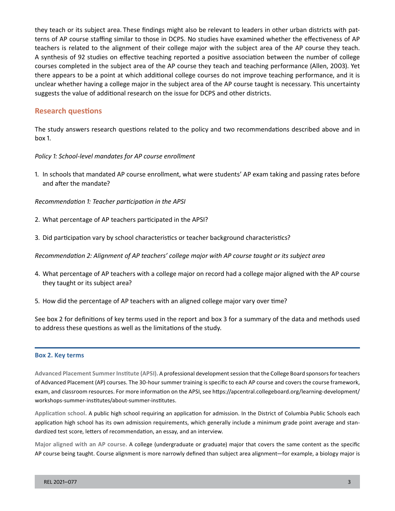they teach or its subject area. These findings might also be relevant to leaders in other urban districts with patterns of AP course staffing similar to those in DCPS. No studies have examined whether the effectiveness of AP teachers is related to the alignment of their college major with the subject area of the AP course they teach. A synthesis of 92 studies on effective teaching reported a positive association between the number of college courses completed in the subject area of the AP course they teach and teaching performance (Allen, 2003). Yet there appears to be a point at which additional college courses do not improve teaching performance, and it is unclear whether having a college major in the subject area of the AP course taught is necessary. This uncertainty suggests the value of additional research on the issue for DCPS and other districts.

## **Research questions**

The study answers research questions related to the policy and two recommendations described above and in box 1.

#### *Policy 1: School-level mandates for AP course enrollment*

1. In schools that mandated AP course enrollment, what were students' AP exam taking and passing rates before and after the mandate?

*Recommendation 1: Teacher participation in the APSI*

2. What percentage of AP teachers participated in the APSI?

3. Did participation vary by school characteristics or teacher background characteristics?

*Recommendation 2: Alignment of AP teachers' college major with AP course taught or its subject area*

- 4. What percentage of AP teachers with a college major on record had a college major aligned with the AP course they taught or its subject area?
- 5. How did the percentage of AP teachers with an aligned college major vary over time?

See box 2 for definitions of key terms used in the report and box 3 for a summary of the data and methods used to address these questions as well as the limitations of the study.

#### **Box 2. Key terms**

**Advanced Placement Summer Institute (APSI).** A professional development session that the College Board sponsors for teachers of Advanced Placement (AP) courses. The 30-hour summer training is specific to each AP course and covers the course framework, exam, and classroom resources. For more information on the APSI, see [https://apcentral.collegeboard.org/learning-development/](https://apcentral.collegeboard.org/learning-development/workshops-summer-institutes/about-summer-institutes) [workshops-summer-institutes/about-summer-institutes](https://apcentral.collegeboard.org/learning-development/workshops-summer-institutes/about-summer-institutes).

**Application school.** A public high school requiring an application for admission. In the District of Columbia Public Schools each application high school has its own admission requirements, which generally include a minimum grade point average and standardized test score, letters of recommendation, an essay, and an interview.

**Major aligned with an AP course.** A college (undergraduate or graduate) major that covers the same content as the specific AP course being taught. Course alignment is more narrowly defined than subject area alignment—for example, a biology major is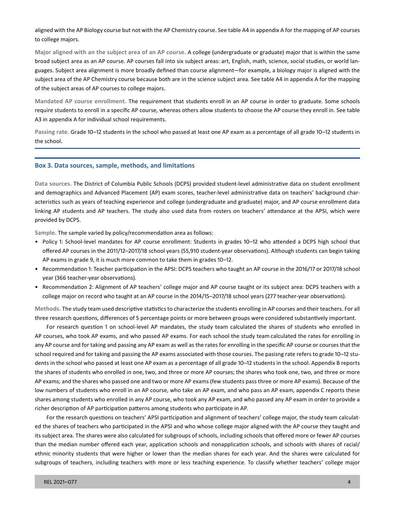aligned with the AP Biology course but not with the AP Chemistry course. See table A4 in appendix A for the mapping of AP courses to college majors.

**Major aligned with an the subject area of an AP course.** A college (undergraduate or graduate) major that is within the same broad subject area as an AP course. AP courses fall into six subject areas: art, English, math, science, social studies, or world languages. Subject area alignment is more broadly defined than course alignment—for example, a biology major is aligned with the subject area of the AP Chemistry course because both are in the science subject area. See table A4 in appendix A for the mapping of the subject areas of AP courses to college majors.

**Mandated AP course enrollment.** The requirement that students enroll in an AP course in order to graduate. Some schools require students to enroll in a specific AP course, whereas others allow students to choose the AP course they enroll in. See table A3 in appendix A for individual school requirements.

**Passing rate.** Grade 10–12 students in the school who passed at least one AP exam as a percentage of all grade 10–12 students in the school.

#### **Box 3. Data sources, sample, methods, and limitations**

**Data sources.** The District of Columbia Public Schools (DCPS) provided student-level administrative data on student enrollment and demographics and Advanced Placement (AP) exam scores, teacher-level administrative data on teachers' background characteristics such as years of teaching experience and college (undergraduate and graduate) major, and AP course enrollment data linking AP students and AP teachers. The study also used data from rosters on teachers' attendance at the APSI, which were provided by DCPS.

**Sample.** The sample varied by policy/recommendation area as follows:

- Policy 1: School-level mandates for AP course enrollment: Students in grades 10–12 who attended a DCPS high school that offered AP courses in the 2011/12–2017/18 school years (55,910 student-year observations). Although students can begin taking AP exams in grade 9, it is much more common to take them in grades 10–12.
- Recommendation 1: Teacher participation in the APSI: DCPS teachers who taught an AP course in the 2016/17 or 2017/18 school year (366 teacher-year observations).
- Recommendation 2: Alignment of AP teachers' college major and AP course taught or its subject area: DCPS teachers with a college major on record who taught at an AP course in the 2014/15–2017/18 school years (277 teacher-year observations).

**Methods.** The study team used descriptive statistics to characterize the students enrolling in AP courses and their teachers. For all three research questions, differences of 5 percentage points or more between groups were considered substantively important.

For research question 1 on school-level AP mandates, the study team calculated the shares of students who enrolled in AP courses, who took AP exams, and who passed AP exams. For each school the study team calculated the rates for enrolling in any AP course and for taking and passing any AP exam as well as the rates for enrolling in the specific AP course or courses that the school required and for taking and passing the AP exams associated with those courses. The pasisng rate refers to grade 10–12 students in the school who passed at least one AP exam as a percentage of all grade 10–12 students in the school. Appendix B reports the shares of students who enrolled in one, two, and three or more AP courses; the shares who took one, two, and three or more AP exams; and the shares who passed one and two or more AP exams (few students pass three or more AP exams). Because of the low numbers of students who enroll in an AP course, who take an AP exam, and who pass an AP exam, appendix C reports these shares among students who enrolled in any AP course, who took any AP exam, and who passed any AP exam in order to provide a richer description of AP participation patterns among students who participate in AP.

For the research questions on teachers' APSI participation and alignment of teachers' college major, the study team calculated the shares of teachers who participated in the APSI and who whose college major aligned with the AP course they taught and its subject area. The shares were also calculated for subgroups of schools, including schools that offered more or fewer AP courses than the median number offered each year, application schools and nonapplication schools, and schools with shares of racial/ ethnic minority students that were higher or lower than the median shares for each year. And the shares were calculated for subgroups of teachers, including teachers with more or less teaching experience. To classify whether teachers' college major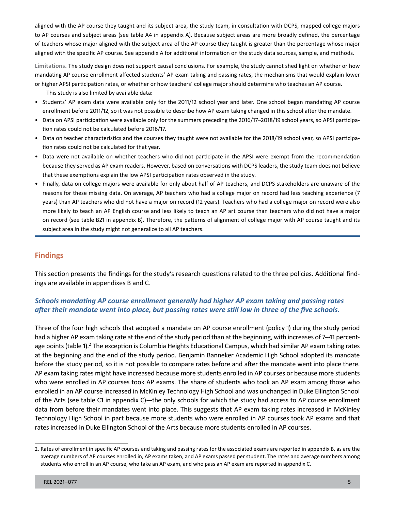aligned with the AP course they taught and its subject area, the study team, in consultation with DCPS, mapped college majors to AP courses and subject areas (see table A4 in appendix A). Because subject areas are more broadly defined, the percentage of teachers whose major aligned with the subject area of the AP course they taught is greater than the percentage whose major aligned with the specific AP course. See appendix A for additional information on the study data sources, sample, and methods.

**Limitations.** The study design does not support causal conclusions. For example, the study cannot shed light on whether or how mandating AP course enrollment affected students' AP exam taking and passing rates, the mechanisms that would explain lower or higher APSI participation rates, or whether or how teachers' college major should determine who teaches an AP course.

This study is also limited by available data:

- Students' AP exam data were available only for the 2011/12 school year and later. One school began mandating AP course enrollment before 2011/12, so it was not possible to describe how AP exam taking changed in this school after the mandate.
- Data on APSI participation were available only for the summers preceding the 2016/17–2018/19 school years, so APSI participation rates could not be calculated before 2016/17.
- Data on teacher characteristics and the courses they taught were not available for the 2018/19 school year, so APSI participation rates could not be calculated for that year.
- Data were not available on whether teachers who did not participate in the APSI were exempt from the recommendation because they served as AP exam readers. However, based on conversations with DCPS leaders, the study team does not believe that these exemptions explain the low APSI participation rates observed in the study.
- Finally, data on college majors were available for only about half of AP teachers, and DCPS stakeholders are unaware of the reasons for these missing data. On average, AP teachers who had a college major on record had less teaching experience (7 years) than AP teachers who did not have a major on record (12 years). Teachers who had a college major on record were also more likely to teach an AP English course and less likely to teach an AP art course than teachers who did not have a major on record (see table B21 in appendix B). Therefore, the patterns of alignment of college major with AP course taught and its subject area in the study might not generalize to all AP teachers.

# **Findings**

This section presents the findings for the study's research questions related to the three policies. Additional findings are available in appendixes B and C.

# *Schools mandating AP course enrollment generally had higher AP exam taking and passing rates after their mandate went into place, but passing rates were still low in three of the five schools.*

Three of the four high schools that adopted a mandate on AP course enrollment (policy 1) during the study period had a higher AP exam taking rate at the end of the study period than at the beginning, with increases of 7–41 percentage points (table 1).<sup>2</sup> The exception is Columbia Heights Educational Campus, which had similar AP exam taking rates at the beginning and the end of the study period. Benjamin Banneker Academic High School adopted its mandate before the study period, so it is not possible to compare rates before and after the mandate went into place there. AP exam taking rates might have increased because more students enrolled in AP courses or because more students who were enrolled in AP courses took AP exams. The share of students who took an AP exam among those who enrolled in an AP course increased in McKinley Technology High School and was unchanged in Duke Ellington School of the Arts (see table C1 in appendix C)—the only schools for which the study had access to AP course enrollment data from before their mandates went into place. This suggests that AP exam taking rates increased in McKinley Technology High School in part because more students who were enrolled in AP courses took AP exams and that rates increased in Duke Ellington School of the Arts because more students enrolled in AP courses.

<sup>2.</sup> Rates of enrollment in specific AP courses and taking and passing rates for the associated exams are reported in appendix B, as are the average numbers of AP courses enrolled in, AP exams taken, and AP exams passed per student. The rates and average numbers among students who enroll in an AP course, who take an AP exam, and who pass an AP exam are reported in appendix C.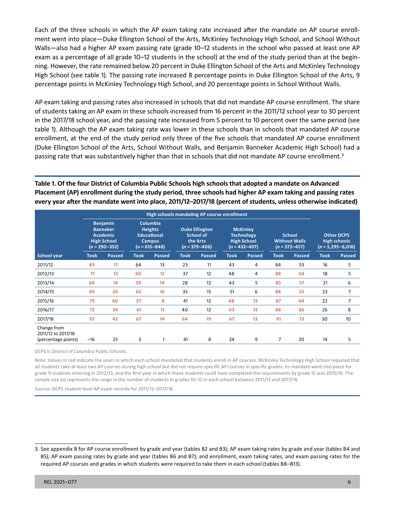Each of the three schools in which the AP exam taking rate increased after the mandate on AP course enrollment went into place—Duke Ellington School of the Arts, McKinley Technology High School, and School Without Walls—also had a higher AP exam passing rate (grade 10–12 students in the school who passed at least one AP exam as a percentage of all grade 10–12 students in the school) at the end of the study period than at the beginning. However, the rate remained below 20 percent in Duke Ellington School of the Arts and McKinley Technology High School (see table 1). The passing rate increased 8 percentage points in Duke Ellington School of the Arts, 9 percentage points in McKinley Technology High School, and 20 percentage points in School Without Walls.

AP exam taking and passing rates also increased in schools that did not mandate AP course enrollment. The share of students taking an AP exam in these schools increased from 16 percent in the 2011/12 school year to 30 percent in the 2017/18 school year, and the passing rate increased from 5 percent to 10 percent over the same period (see table 1). Although the AP exam taking rate was lower in these schools than in schools that mandated AP course enrollment, at the end of the study period only three of the five schools that mandated AP course enrollment (Duke Ellington School of the Arts, School Without Walls, and Benjamin Banneker Academic High School) had a passing rate that was substantively higher than that in schools that did not mandate AP course enrollment.<sup>3</sup>

**Table 1. Of the four District of Columbia Public Schools high schools that adopted a mandate on Advanced Placement (AP) enrollment during the study period, three schools had higher AP exam taking and passing rates every year after the mandate went into place, 2011/12–2017/18 (percent of students, unless otherwise indicated)**

|                                                                                                  | High schools mandating AP course enrollment |                                                                                        |             |                                                                     |             |                                                                                 |             |                                                            |             |                                                          |             |        |
|--------------------------------------------------------------------------------------------------|---------------------------------------------|----------------------------------------------------------------------------------------|-------------|---------------------------------------------------------------------|-------------|---------------------------------------------------------------------------------|-------------|------------------------------------------------------------|-------------|----------------------------------------------------------|-------------|--------|
| <b>Benjamin</b><br><b>Banneker</b><br><b>Academic</b><br><b>High School</b><br>$(n = 290 - 352)$ |                                             | Columbia<br><b>Heights</b><br><b>Educational</b><br><b>Campus</b><br>$(n = 615 - 848)$ |             | <b>Duke Ellington</b><br>School of<br>the Arts<br>$(n = 379 - 406)$ |             | <b>McKinley</b><br><b>Technology</b><br><b>High School</b><br>$(n = 432 - 497)$ |             | <b>School</b><br><b>Without Walls</b><br>$(n = 372 - 457)$ |             | <b>Other DCPS</b><br>high schools<br>$(n = 5,295-6,016)$ |             |        |
| School year                                                                                      | <b>Took</b>                                 | <b>Passed</b>                                                                          | <b>Took</b> | Passed                                                              | <b>Took</b> | <b>Passed</b>                                                                   | <b>Took</b> | <b>Passed</b>                                              | <b>Took</b> | Passed                                                   | <b>Took</b> | Passed |
| 2011/12                                                                                          | 83                                          | 17                                                                                     | 64          | 13                                                                  | 23          | 11                                                                              | 43          | 4                                                          | 84          | 53                                                       | 16          | 5      |
| 2012/13                                                                                          | 71                                          | 13                                                                                     | 60          | 12                                                                  | 37          | 12                                                                              | 48          | 4                                                          | 88          | 54                                                       | 18          | 5      |
| 2013/14                                                                                          | 64                                          | 14                                                                                     | 59          | 14                                                                  | 28          | 12                                                                              | 43          | 5                                                          | 85          | 57                                                       | 21          | 6      |
| 2014/15                                                                                          | 69                                          | 26                                                                                     | 62          | 16                                                                  | 35          | 15                                                                              | 51          | 6                                                          | 88          | 53                                                       | 23          | 7      |
| 2015/16                                                                                          | 75                                          | 40                                                                                     | 57          | 8                                                                   | 41          | 12                                                                              | 68          | 13                                                         | 87          | 64                                                       | 22          | 7      |
| 2016/17                                                                                          | 72                                          | 34                                                                                     | 61          | 11                                                                  | 40          | 12                                                                              | 63          | 13                                                         | 88          | 66                                                       | 26          | 8      |
| 2017/18                                                                                          | 67                                          | 42                                                                                     | 67          | 14                                                                  | 64          | 19                                                                              | 67          | 13                                                         | 91          | 73                                                       | 30          | 10     |
| Change from<br>2011/12 to 2017/18<br>(percentage points)                                         | $-16$                                       | 25                                                                                     | 3           |                                                                     | 41          | 8                                                                               | 24          | 9                                                          | 7           | 20                                                       | 14          | 5      |

DCPS is District of Columbia Public Schools.

Note: Values in red indicate the years in which each school mandated that students enroll in AP courses. McKinley Technology High School required that all students take at least two AP courses during high school but did not require specific AP courses in specific grades; its mandate went into place for grade 9 students entering in 2012/13, and the first year in which these students could have completed the requirements by grade 12 was 2015/16. The sample size (*n*) represents the range in the number of students in grades 10–12 in each school between 2011/12 and 2017/18.

Source**:** DCPS student-level AP exam records for 2011/12–2017/18.

<sup>3.</sup> See appendix B for AP course enrollment by grade and year (tables B2 and B3); AP exam taking rates by grade and year (tables B4 and B5); AP exam passing rates by grade and year (tables B6 and B7); and enrollment, exam taking rates, and exam passing rates for the required AP courses and grades in which students were required to take them in each school (tables B8–B13).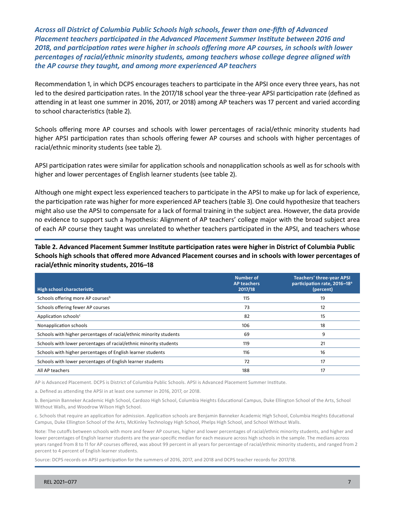*Across all District of Columbia Public Schools high schools, fewer than one-fifth of Advanced Placement teachers participated in the Advanced Placement Summer Institute between 2016 and 2018, and participation rates were higher in schools offering more AP courses, in schools with lower percentages of racial/ethnic minority students, among teachers whose college degree aligned with the AP course they taught, and among more experienced AP teachers*

Recommendation 1, in which DCPS encourages teachers to participate in the APSI once every three years, has not led to the desired participation rates. In the 2017/18 school year the three-year APSI participation rate (defined as attending in at least one summer in 2016, 2017, or 2018) among AP teachers was 17 percent and varied according to school characteristics (table 2).

Schools offering more AP courses and schools with lower percentages of racial/ethnic minority students had higher APSI participation rates than schools offering fewer AP courses and schools with higher percentages of racial/ethnic minority students (see table 2).

APSI participation rates were similar for application schools and nonapplication schools as well as for schools with higher and lower percentages of English learner students (see table 2).

Although one might expect less experienced teachers to participate in the APSI to make up for lack of experience, the participation rate was higher for more experienced AP teachers (table 3). One could hypothesize that teachers might also use the APSI to compensate for a lack of formal training in the subject area. However, the data provide no evidence to support such a hypothesis: Alignment of AP teachers' college major with the broad subject area of each AP course they taught was unrelated to whether teachers participated in the APSI, and teachers whose

**Table 2. Advanced Placement Summer Institute participation rates were higher in District of Columbia Public Schools high schools that offered more Advanced Placement courses and in schools with lower percentages of racial/ethnic minority students, 2016–18**

| High school characteristic                                         | <b>Number of</b><br><b>AP teachers</b><br>2017/18 | <b>Teachers' three-year APSI</b><br>participation rate, 2016-18 <sup>a</sup><br>(percent) |
|--------------------------------------------------------------------|---------------------------------------------------|-------------------------------------------------------------------------------------------|
| Schools offering more AP courses <sup>b</sup>                      | 115                                               | 19                                                                                        |
| Schools offering fewer AP courses                                  | 73                                                | 12                                                                                        |
| Application schools <sup>c</sup>                                   | 82                                                | 15                                                                                        |
| Nonapplication schools                                             | 106                                               | 18                                                                                        |
| Schools with higher percentages of racial/ethnic minority students | 69                                                | 9                                                                                         |
| Schools with lower percentages of racial/ethnic minority students  | 119                                               | 21                                                                                        |
| Schools with higher percentages of English learner students        | 116                                               | 16                                                                                        |
| Schools with lower percentages of English learner students         | 72                                                | 17                                                                                        |
| All AP teachers                                                    | 188                                               | 17                                                                                        |

AP is Advanced Placement. DCPS is District of Columbia Public Schools. APSI is Advanced Placement Summer Institute.

a. Defined as attending the APSI in at least one summer in 2016, 2017, or 2018.

b. Benjamin Banneker Academic High School, Cardozo High School, Columbia Heights Educational Campus, Duke Ellington School of the Arts, School Without Walls, and Woodrow Wilson High School.

c. Schools that require an application for admission. Application schools are Benjamin Banneker Academic High School, Columbia Heights Educational Campus, Duke Ellington School of the Arts, McKinley Technology High School, Phelps High School, and School Without Walls.

Note: The cutoffs between schools with more and fewer AP courses, higher and lower percentages of racial/ethnic minority students, and higher and lower percentages of English learner students are the year-specific median for each measure across high schools in the sample. The medians across years ranged from 8 to 11 for AP courses offered, was about 99 percent in all years for percentage of racial/ethnic minority students, and ranged from 2 percent to 4 percent of English learner students.

Source: DCPS records on APSI participation for the summers of 2016, 2017, and 2018 and DCPS teacher records for 2017/18.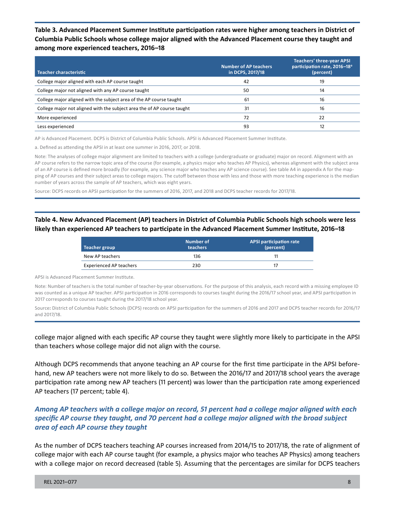**Table 3. Advanced Placement Summer Institute participation rates were higher among teachers in District of Columbia Public Schools whose college major aligned with the Advanced Placement course they taught and among more experienced teachers, 2016–18**

| <b>Teacher characteristic</b>                                           | <b>Number of AP teachers</b><br>in DCPS, 2017/18 | <b>Teachers' three-year APSI</b><br>participation rate, 2016-18 <sup>a</sup><br>(percent) |
|-------------------------------------------------------------------------|--------------------------------------------------|-------------------------------------------------------------------------------------------|
| College major aligned with each AP course taught                        | 42                                               | 19                                                                                        |
| College major not aligned with any AP course taught                     | 50                                               | 14                                                                                        |
| College major aligned with the subject area of the AP course taught     | 61                                               | 16                                                                                        |
| College major not aligned with the subject area the of AP course taught | 31                                               | 16                                                                                        |
| More experienced                                                        | 72                                               | 22                                                                                        |
| Less experienced                                                        | 93                                               | 12                                                                                        |

AP is Advanced Placement. DCPS is District of Columbia Public Schools. APSI is Advanced Placement Summer Institute.

a. Defined as attending the APSI in at least one summer in 2016, 2017, or 2018.

Note: The analyses of college major alignment are limited to teachers with a college (undergraduate or graduate) major on record. Alignment with an AP course refers to the narrow topic area of the course (for example, a physics major who teaches AP Physics), whereas alignment with the subject area of an AP course is defined more broadly (for example, any science major who teaches any AP science course). See table A4 in appendix A for the mapping of AP courses and their subject areas to college majors. The cutoff between those with less and those with more teaching experience is the median number of years across the sample of AP teachers, which was eight years.

Source: DCPS records on APSI participation for the summers of 2016, 2017, and 2018 and DCPS teacher records for 2017/18.

### **Table 4. New Advanced Placement (AP) teachers in District of Columbia Public Schools high schools were less likely than experienced AP teachers to participate in the Advanced Placement Summer Institute, 2016–18**

| Teacher group                  | Number of<br><b>teachers</b> | APSI participation rate<br>(percent) |
|--------------------------------|------------------------------|--------------------------------------|
| New AP teachers                | 136                          |                                      |
| <b>Experienced AP teachers</b> | 230                          |                                      |

APSI is Advanced Placement Summer Institute.

Note: Number of teachers is the total number of teacher-by-year observations. For the purpose of this analysis, each record with a missing employee ID was counted as a unique AP teacher. APSI participation in 2016 corresponds to courses taught during the 2016/17 school year, and APSI participation in 2017 corresponds to courses taught during the 2017/18 school year.

Source**:** District of Columbia Public Schools (DCPS) records on APSI participation for the summers of 2016 and 2017 and DCPS teacher records for 2016/17 and 2017/18.

college major aligned with each specific AP course they taught were slightly more likely to participate in the APSI than teachers whose college major did not align with the course.

Although DCPS recommends that anyone teaching an AP course for the first time participate in the APSI beforehand, new AP teachers were not more likely to do so. Between the 2016/17 and 2017/18 school years the average participation rate among new AP teachers (11 percent) was lower than the participation rate among experienced AP teachers (17 percent; table 4).

# *Among AP teachers with a college major on record, 51 percent had a college major aligned with each specific AP course they taught, and 70 percent had a college major aligned with the broad subject area of each AP course they taught*

As the number of DCPS teachers teaching AP courses increased from 2014/15 to 2017/18, the rate of alignment of college major with each AP course taught (for example, a physics major who teaches AP Physics) among teachers with a college major on record decreased (table 5). Assuming that the percentages are similar for DCPS teachers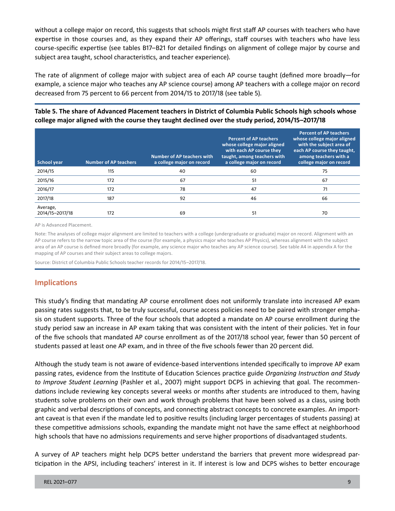without a college major on record, this suggests that schools might first staff AP courses with teachers who have expertise in those courses and, as they expand their AP offerings, staff courses with teachers who have less course-specific expertise (see tables B17–B21 for detailed findings on alignment of college major by course and subject area taught, school characteristics, and teacher experience).

The rate of alignment of college major with subject area of each AP course taught (defined more broadly—for example, a science major who teaches any AP science course) among AP teachers with a college major on record decreased from 75 percent to 66 percent from 2014/15 to 2017/18 (see table 5).

## **Table 5. The share of Advanced Placement teachers in District of Columbia Public Schools high schools whose college major aligned with the course they taught declined over the study period, 2014/15–2017/18**

| School year                 | <b>Number of AP teachers</b> | <b>Number of AP teachers with</b><br>a college major on record | <b>Percent of AP teachers</b><br>whose college major aligned<br>with each AP course they<br>taught, among teachers with<br>a college major on record | <b>Percent of AP teachers</b><br>whose college major aligned<br>with the subject area of<br>each AP course they taught,<br>among teachers with a<br>college major on record |
|-----------------------------|------------------------------|----------------------------------------------------------------|------------------------------------------------------------------------------------------------------------------------------------------------------|-----------------------------------------------------------------------------------------------------------------------------------------------------------------------------|
| 2014/15                     | 115                          | 40                                                             | 60                                                                                                                                                   | 75                                                                                                                                                                          |
| 2015/16                     | 172                          | 67                                                             | 51                                                                                                                                                   | 67                                                                                                                                                                          |
| 2016/17                     | 172                          | 78                                                             | 47                                                                                                                                                   | 71                                                                                                                                                                          |
| 2017/18                     | 187                          | 92                                                             | 46                                                                                                                                                   | 66                                                                                                                                                                          |
| Average,<br>2014/15-2017/18 | 172                          | 69                                                             | 51                                                                                                                                                   | 70                                                                                                                                                                          |

AP is Advanced Placement.

Note: The analyses of college major alignment are limited to teachers with a college (undergraduate or graduate) major on record. Alignment with an AP course refers to the narrow topic area of the course (for example, a physics major who teaches AP Physics), whereas alignment with the subject area of an AP course is defined more broadly (for example, any science major who teaches any AP science course). See table A4 in appendix A for the mapping of AP courses and their subject areas to college majors.

Source: District of Columbia Public Schools teacher records for 2014/15–2017/18.

# **Implications**

This study's finding that mandating AP course enrollment does not uniformly translate into increased AP exam passing rates suggests that, to be truly successful, course access policies need to be paired with stronger emphasis on student supports. Three of the four schools that adopted a mandate on AP course enrollment during the study period saw an increase in AP exam taking that was consistent with the intent of their policies. Yet in four of the five schools that mandated AP course enrollment as of the 2017/18 school year, fewer than 50 percent of students passed at least one AP exam, and in three of the five schools fewer than 20 percent did.

Although the study team is not aware of evidence-based interventions intended specifically to improve AP exam passing rates, evidence from the Institute of Education Sciences practice guide *Organizing Instruction and Study to Improve Student Learning* (Pashler et al., 2007) might support DCPS in achieving that goal. The recommendations include reviewing key concepts several weeks or months after students are introduced to them, having students solve problems on their own and work through problems that have been solved as a class, using both graphic and verbal descriptions of concepts, and connecting abstract concepts to concrete examples. An important caveat is that even if the mandate led to positive results (including larger percentages of students passing) at these competitive admissions schools, expanding the mandate might not have the same effect at neighborhood high schools that have no admissions requirements and serve higher proportions of disadvantaged students.

A survey of AP teachers might help DCPS better understand the barriers that prevent more widespread participation in the APSI, including teachers' interest in it. If interest is low and DCPS wishes to better encourage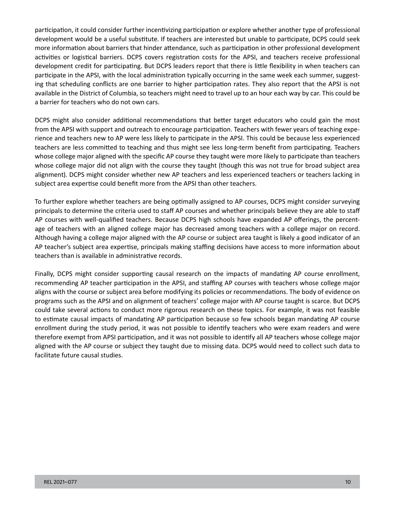participation, it could consider further incentivizing participation or explore whether another type of professional development would be a useful substitute. If teachers are interested but unable to participate, DCPS could seek more information about barriers that hinder attendance, such as participation in other professional development activities or logistical barriers. DCPS covers registration costs for the APSI, and teachers receive professional development credit for participating. But DCPS leaders report that there is little flexibility in when teachers can participate in the APSI, with the local administration typically occurring in the same week each summer, suggesting that scheduling conflicts are one barrier to higher participation rates. They also report that the APSI is not available in the District of Columbia, so teachers might need to travel up to an hour each way by car. This could be a barrier for teachers who do not own cars.

DCPS might also consider additional recommendations that better target educators who could gain the most from the APSI with support and outreach to encourage participation. Teachers with fewer years of teaching experience and teachers new to AP were less likely to participate in the APSI. This could be because less experienced teachers are less committed to teaching and thus might see less long-term benefit from participating. Teachers whose college major aligned with the specific AP course they taught were more likely to participate than teachers whose college major did not align with the course they taught (though this was not true for broad subject area alignment). DCPS might consider whether new AP teachers and less experienced teachers or teachers lacking in subject area expertise could benefit more from the APSI than other teachers.

To further explore whether teachers are being optimally assigned to AP courses, DCPS might consider surveying principals to determine the criteria used to staff AP courses and whether principals believe they are able to staff AP courses with well-qualified teachers. Because DCPS high schools have expanded AP offerings, the percentage of teachers with an aligned college major has decreased among teachers with a college major on record. Although having a college major aligned with the AP course or subject area taught is likely a good indicator of an AP teacher's subject area expertise, principals making staffing decisions have access to more information about teachers than is available in administrative records.

Finally, DCPS might consider supporting causal research on the impacts of mandating AP course enrollment, recommending AP teacher participation in the APSI, and staffing AP courses with teachers whose college major aligns with the course or subject area before modifying its policies or recommendations. The body of evidence on programs such as the APSI and on alignment of teachers' college major with AP course taught is scarce. But DCPS could take several actions to conduct more rigorous research on these topics. For example, it was not feasible to estimate causal impacts of mandating AP participation because so few schools began mandating AP course enrollment during the study period, it was not possible to identify teachers who were exam readers and were therefore exempt from APSI participation, and it was not possible to identify all AP teachers whose college major aligned with the AP course or subject they taught due to missing data. DCPS would need to collect such data to facilitate future causal studies.